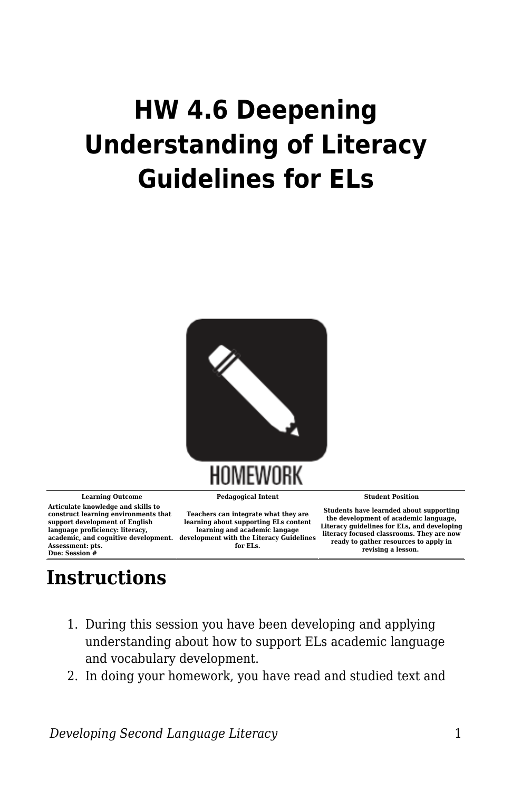## **HW 4.6 Deepening Understanding of Literacy Guidelines for ELs**



**Articulate knowledge and skills to construct learning environments that support development of English language proficiency: literacy, Assessment: pts. Due: Session #**

**Learning Outcome Pedagogical Intent Student Position**

**academic, and cognitive development. development with the Literacy Guidelines Teachers can integrate what they are learning about supporting ELs content learning and academic langage for ELs.**

**Students have learnded about supporting the development of academic language, Literacy guidelines for ELs, and developing literacy focused classrooms. They are now ready to gather resources to apply in revising a lesson.** 

## **Instructions**

- 1. During this session you have been developing and applying understanding about how to support ELs academic language and vocabulary development.
- 2. In doing your homework, you have read and studied text and

*Developing Second Language Literacy* 1